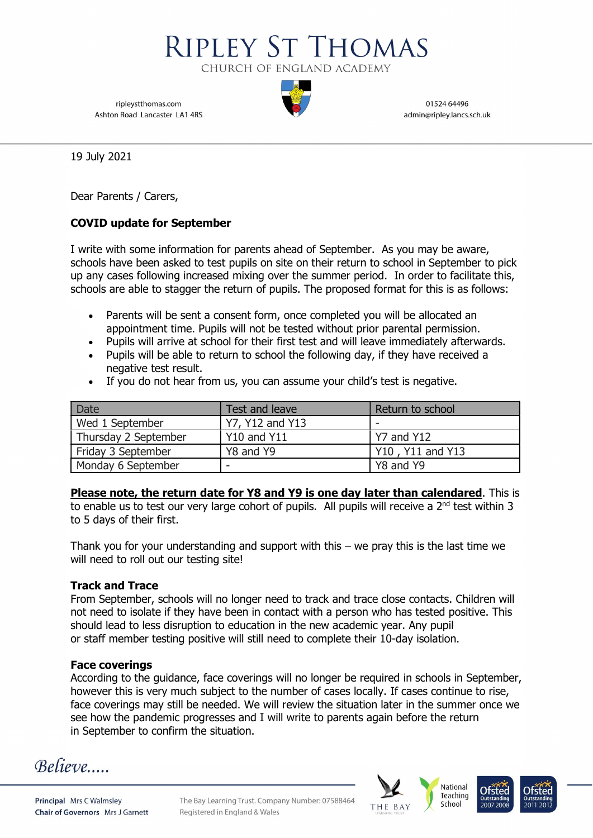

ripleystthomas.com Ashton Road Lancaster LA1 4RS

01524 64496 admin@ripley.lancs.sch.uk

19 July 2021

Dear Parents / Carers,

## COVID update for September

I write with some information for parents ahead of September. As you may be aware, schools have been asked to test pupils on site on their return to school in September to pick up any cases following increased mixing over the summer period. In order to facilitate this, schools are able to stagger the return of pupils. The proposed format for this is as follows:

- Parents will be sent a consent form, once completed you will be allocated an appointment time. Pupils will not be tested without prior parental permission.
- Pupils will arrive at school for their first test and will leave immediately afterwards.
- Pupils will be able to return to school the following day, if they have received a negative test result.
- If you do not hear from us, you can assume your child's test is negative.

| Date                 | Test and leave     | Return to school |
|----------------------|--------------------|------------------|
| Wed 1 September      | Y7, Y12 and Y13    |                  |
| Thursday 2 September | <b>Y10 and Y11</b> | l Y7 and Y12     |
| Friday 3 September   | Y8 and Y9          | Y10, Y11 and Y13 |
| Monday 6 September   | -                  | Y8 and Y9        |

Please note, the return date for Y8 and Y9 is one day later than calendared. This is to enable us to test our very large cohort of pupils. All pupils will receive a 2<sup>nd</sup> test within 3 to 5 days of their first.

Thank you for your understanding and support with this  $-$  we pray this is the last time we will need to roll out our testing site!

## Track and Trace

From September, schools will no longer need to track and trace close contacts. Children will not need to isolate if they have been in contact with a person who has tested positive. This should lead to less disruption to education in the new academic year. Any pupil or staff member testing positive will still need to complete their 10-day isolation.

## Face coverings

According to the guidance, face coverings will no longer be required in schools in September, however this is very much subject to the number of cases locally. If cases continue to rise, face coverings may still be needed. We will review the situation later in the summer once we see how the pandemic progresses and I will write to parents again before the return in September to confirm the situation.

**Believe**